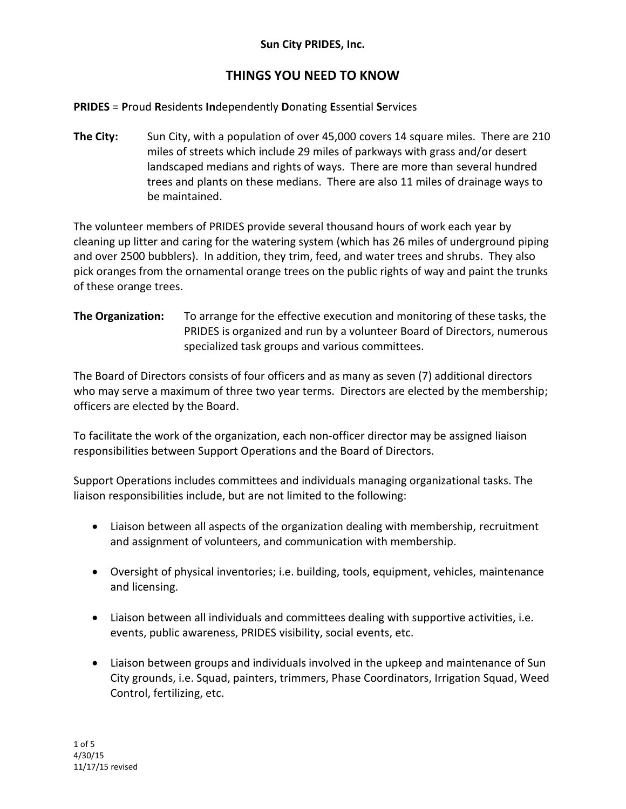## **THINGS YOU NEED TO KNOW**

#### **PRIDES** = **P**roud **R**esidents **In**dependently **D**onating **E**ssential **S**ervices

**The City:** Sun City, with a population of over 45,000 covers 14 square miles. There are 210 miles of streets which include 29 miles of parkways with grass and/or desert landscaped medians and rights of ways. There are more than several hundred trees and plants on these medians. There are also 11 miles of drainage ways to be maintained.

The volunteer members of PRIDES provide several thousand hours of work each year by cleaning up litter and caring for the watering system (which has 26 miles of underground piping and over 2500 bubblers). In addition, they trim, feed, and water trees and shrubs. They also pick oranges from the ornamental orange trees on the public rights of way and paint the trunks of these orange trees.

### **The Organization:** To arrange for the effective execution and monitoring of these tasks, the PRIDES is organized and run by a volunteer Board of Directors, numerous specialized task groups and various committees.

The Board of Directors consists of four officers and as many as seven (7) additional directors who may serve a maximum of three two year terms. Directors are elected by the membership; officers are elected by the Board.

To facilitate the work of the organization, each non-officer director may be assigned liaison responsibilities between Support Operations and the Board of Directors.

Support Operations includes committees and individuals managing organizational tasks. The liaison responsibilities include, but are not limited to the following:

- Liaison between all aspects of the organization dealing with membership, recruitment and assignment of volunteers, and communication with membership.
- Oversight of physical inventories; i.e. building, tools, equipment, vehicles, maintenance and licensing.
- Liaison between all individuals and committees dealing with supportive activities, i.e. events, public awareness, PRIDES visibility, social events, etc.
- Liaison between groups and individuals involved in the upkeep and maintenance of Sun City grounds, i.e. Squad, painters, trimmers, Phase Coordinators, Irrigation Squad, Weed Control, fertilizing, etc.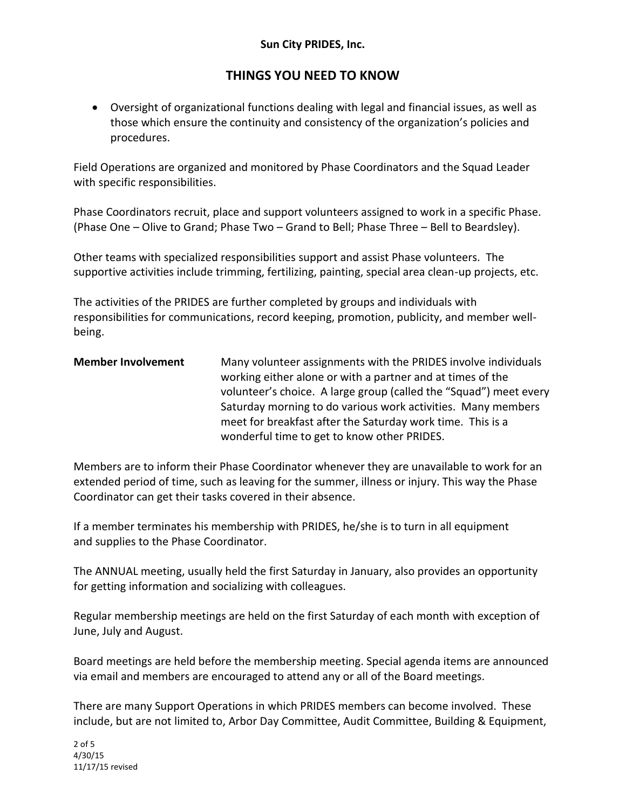## **THINGS YOU NEED TO KNOW**

 Oversight of organizational functions dealing with legal and financial issues, as well as those which ensure the continuity and consistency of the organization's policies and procedures.

Field Operations are organized and monitored by Phase Coordinators and the Squad Leader with specific responsibilities.

Phase Coordinators recruit, place and support volunteers assigned to work in a specific Phase. (Phase One – Olive to Grand; Phase Two – Grand to Bell; Phase Three – Bell to Beardsley).

Other teams with specialized responsibilities support and assist Phase volunteers. The supportive activities include trimming, fertilizing, painting, special area clean-up projects, etc.

The activities of the PRIDES are further completed by groups and individuals with responsibilities for communications, record keeping, promotion, publicity, and member wellbeing.

**Member Involvement** Many volunteer assignments with the PRIDES involve individuals working either alone or with a partner and at times of the volunteer's choice. A large group (called the "Squad") meet every Saturday morning to do various work activities. Many members meet for breakfast after the Saturday work time. This is a wonderful time to get to know other PRIDES.

Members are to inform their Phase Coordinator whenever they are unavailable to work for an extended period of time, such as leaving for the summer, illness or injury. This way the Phase Coordinator can get their tasks covered in their absence.

If a member terminates his membership with PRIDES, he/she is to turn in all equipment and supplies to the Phase Coordinator.

The ANNUAL meeting, usually held the first Saturday in January, also provides an opportunity for getting information and socializing with colleagues.

Regular membership meetings are held on the first Saturday of each month with exception of June, July and August.

Board meetings are held before the membership meeting. Special agenda items are announced via email and members are encouraged to attend any or all of the Board meetings.

There are many Support Operations in which PRIDES members can become involved. These include, but are not limited to, Arbor Day Committee, Audit Committee, Building & Equipment,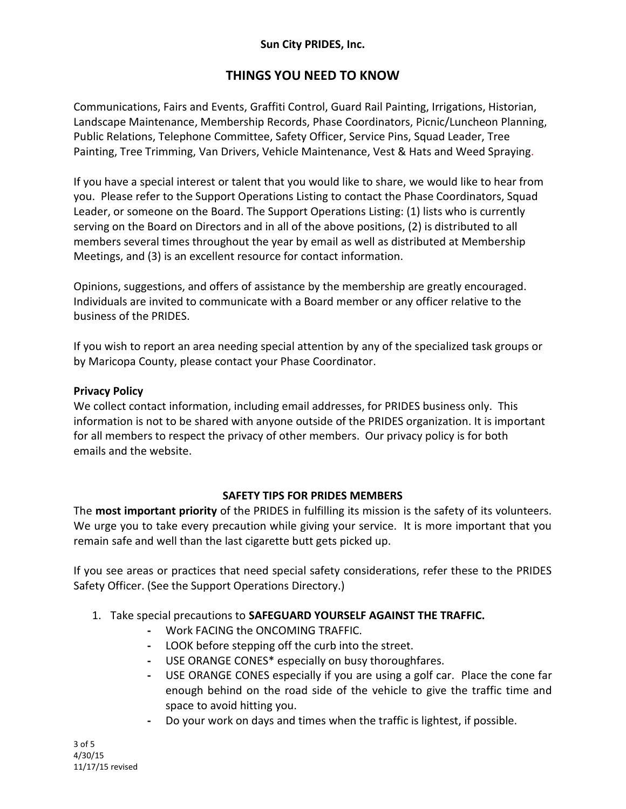## **THINGS YOU NEED TO KNOW**

Communications, Fairs and Events, Graffiti Control, Guard Rail Painting, Irrigations, Historian, Landscape Maintenance, Membership Records, Phase Coordinators, Picnic/Luncheon Planning, Public Relations, Telephone Committee, Safety Officer, Service Pins, Squad Leader, Tree Painting, Tree Trimming, Van Drivers, Vehicle Maintenance, Vest & Hats and Weed Spraying.

If you have a special interest or talent that you would like to share, we would like to hear from you. Please refer to the Support Operations Listing to contact the Phase Coordinators, Squad Leader, or someone on the Board. The Support Operations Listing: (1) lists who is currently serving on the Board on Directors and in all of the above positions, (2) is distributed to all members several times throughout the year by email as well as distributed at Membership Meetings, and (3) is an excellent resource for contact information.

Opinions, suggestions, and offers of assistance by the membership are greatly encouraged. Individuals are invited to communicate with a Board member or any officer relative to the business of the PRIDES.

If you wish to report an area needing special attention by any of the specialized task groups or by Maricopa County, please contact your Phase Coordinator.

#### **Privacy Policy**

We collect contact information, including email addresses, for PRIDES business only. This information is not to be shared with anyone outside of the PRIDES organization. It is important for all members to respect the privacy of other members. Our privacy policy is for both emails and the website.

#### **SAFETY TIPS FOR PRIDES MEMBERS**

The **most important priority** of the PRIDES in fulfilling its mission is the safety of its volunteers. We urge you to take every precaution while giving your service. It is more important that you remain safe and well than the last cigarette butt gets picked up.

If you see areas or practices that need special safety considerations, refer these to the PRIDES Safety Officer. (See the Support Operations Directory.)

#### 1. Take special precautions to **SAFEGUARD YOURSELF AGAINST THE TRAFFIC.**

- **-** Work FACING the ONCOMING TRAFFIC.
- **-** LOOK before stepping off the curb into the street.
- **-** USE ORANGE CONES\* especially on busy thoroughfares.
- **-** USE ORANGE CONES especially if you are using a golf car. Place the cone far enough behind on the road side of the vehicle to give the traffic time and space to avoid hitting you.
- **-** Do your work on days and times when the traffic is lightest, if possible.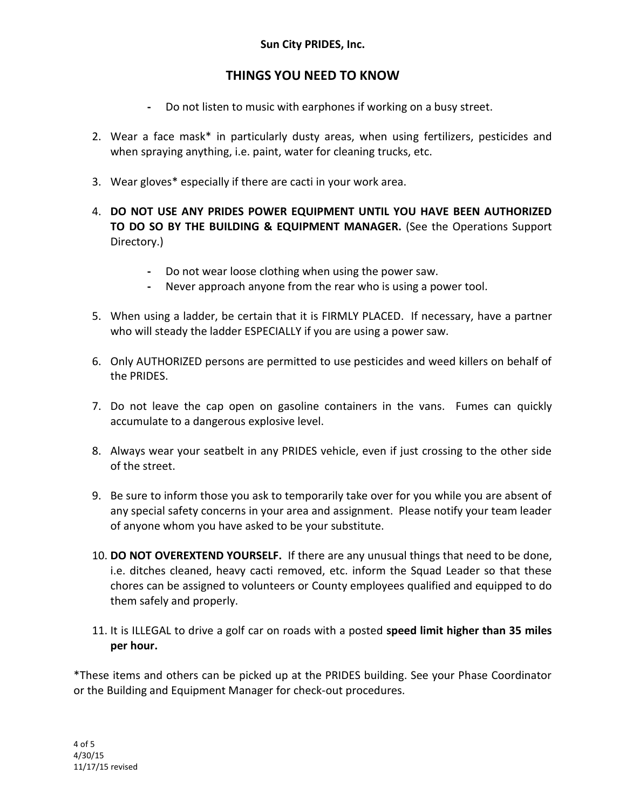## **THINGS YOU NEED TO KNOW**

- **-** Do not listen to music with earphones if working on a busy street.
- 2. Wear a face mask\* in particularly dusty areas, when using fertilizers, pesticides and when spraying anything, i.e. paint, water for cleaning trucks, etc.
- 3. Wear gloves\* especially if there are cacti in your work area.
- 4. **DO NOT USE ANY PRIDES POWER EQUIPMENT UNTIL YOU HAVE BEEN AUTHORIZED TO DO SO BY THE BUILDING & EQUIPMENT MANAGER.** (See the Operations Support Directory.)
	- **-** Do not wear loose clothing when using the power saw.
	- **-** Never approach anyone from the rear who is using a power tool.
- 5. When using a ladder, be certain that it is FIRMLY PLACED. If necessary, have a partner who will steady the ladder ESPECIALLY if you are using a power saw.
- 6. Only AUTHORIZED persons are permitted to use pesticides and weed killers on behalf of the PRIDES.
- 7. Do not leave the cap open on gasoline containers in the vans. Fumes can quickly accumulate to a dangerous explosive level.
- 8. Always wear your seatbelt in any PRIDES vehicle, even if just crossing to the other side of the street.
- 9. Be sure to inform those you ask to temporarily take over for you while you are absent of any special safety concerns in your area and assignment. Please notify your team leader of anyone whom you have asked to be your substitute.
- 10. **DO NOT OVEREXTEND YOURSELF.** If there are any unusual things that need to be done, i.e. ditches cleaned, heavy cacti removed, etc. inform the Squad Leader so that these chores can be assigned to volunteers or County employees qualified and equipped to do them safely and properly.
- 11. It is ILLEGAL to drive a golf car on roads with a posted **speed limit higher than 35 miles per hour.**

\*These items and others can be picked up at the PRIDES building. See your Phase Coordinator or the Building and Equipment Manager for check-out procedures.